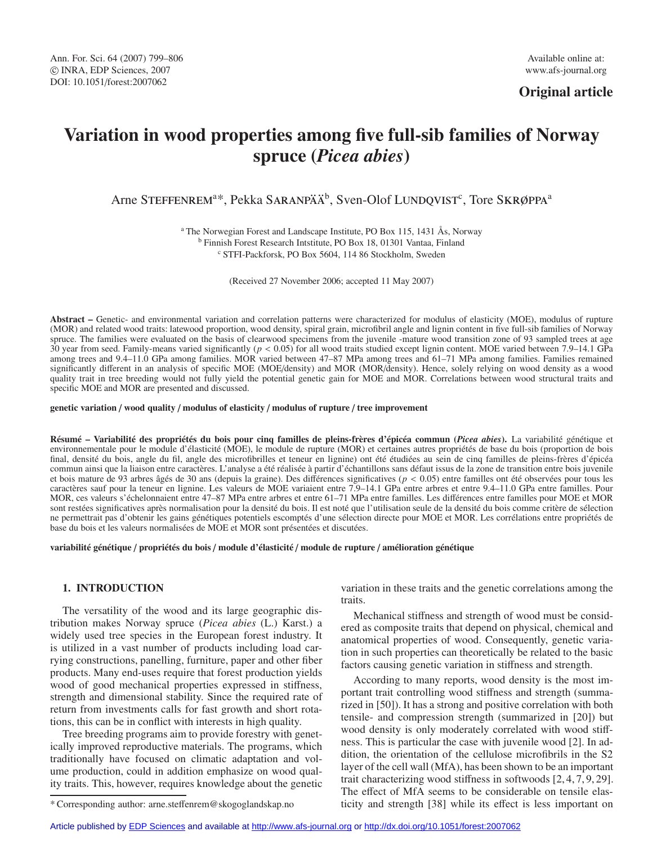# **Original article**

# **Variation in wood properties among five full-sib families of Norway spruce (***Picea abies***)**

Arne STEFFENREM<sup>a\*</sup>, Pekka SARANPÄÄ<sup>b</sup>, Sven-Olof LUNDQVIST<sup>c</sup>, Tore SKRØPPA<sup>a</sup>

<sup>a</sup> The Norwegian Forest and Landscape Institute, PO Box 115, 1431 Ås, Norway <sup>b</sup> Finnish Forest Research Intstitute, PO Box 18, 01301 Vantaa, Finland <sup>c</sup> STFI-Packforsk, PO Box 5604, 114 86 Stockholm, Sweden

(Received 27 November 2006; accepted 11 May 2007)

**Abstract –** Genetic- and environmental variation and correlation patterns were characterized for modulus of elasticity (MOE), modulus of rupture (MOR) and related wood traits: latewood proportion, wood density, spiral grain, microfibril angle and lignin content in five full-sib families of Norway spruce. The families were evaluated on the basis of clearwood specimens from the juvenile -mature wood transition zone of 93 sampled trees at age 30 year from seed. Family-means varied significantly (*p* < 0.05) for all wood traits studied except lignin content. MOE varied between 7.9–14.1 GPa among trees and 9.4–11.0 GPa among families. MOR varied between 47–87 MPa among trees and 61–71 MPa among families. Families remained significantly different in an analysis of specific MOE (MOE/density) and MOR (MOR/density). Hence, solely relying on wood density as a wood quality trait in tree breeding would not fully yield the potential genetic gain for MOE and MOR. Correlations between wood structural traits and specific MOE and MOR are presented and discussed.

**genetic variation** / **wood quality** / **modulus of elasticity** / **modulus of rupture** / **tree improvement**

**Résumé – Variabilité des propriétés du bois pour cinq familles de pleins-frères d'épicéa commun (***Picea abies***).** La variabilité génétique et environnementale pour le module d'élasticité (MOE), le module de rupture (MOR) et certaines autres propriétés de base du bois (proportion de bois final, densité du bois, angle du fil, angle des microfibrilles et teneur en lignine) ont été étudiées au sein de cinq familles de pleins-frères d'épicéa commun ainsi que la liaison entre caractères. L'analyse a été réalisée à partir d'échantillons sans défaut issus de la zone de transition entre bois juvenile et bois mature de 93 arbres âgés de 30 ans (depuis la graine). Des différences significatives (*p* < 0.05) entre familles ont été observées pour tous les caractères sauf pour la teneur en lignine. Les valeurs de MOE variaient entre 7.9–14.1 GPa entre arbres et entre 9.4–11.0 GPa entre familles. Pour MOR, ces valeurs s'échelonnaient entre 47–87 MPa entre arbres et entre 61–71 MPa entre familles. Les différences entre familles pour MOE et MOR sont restées significatives après normalisation pour la densité du bois. Il est noté que l'utilisation seule de la densité du bois comme critère de sélection ne permettrait pas d'obtenir les gains génétiques potentiels escomptés d'une sélection directe pour MOE et MOR. Les corrélations entre propriétés de base du bois et les valeurs normalisées de MOE et MOR sont présentées et discutées.

**variabilité génétique** / **propriétés du bois** / **module d'élasticité** / **module de rupture** / **amélioration génétique**

# **1. INTRODUCTION**

The versatility of the wood and its large geographic distribution makes Norway spruce (*Picea abies* (L.) Karst.) a widely used tree species in the European forest industry. It is utilized in a vast number of products including load carrying constructions, panelling, furniture, paper and other fiber products. Many end-uses require that forest production yields wood of good mechanical properties expressed in stiffness, strength and dimensional stability. Since the required rate of return from investments calls for fast growth and short rotations, this can be in conflict with interests in high quality.

Tree breeding programs aim to provide forestry with genetically improved reproductive materials. The programs, which traditionally have focused on climatic adaptation and volume production, could in addition emphasize on wood quality traits. This, however, requires knowledge about the genetic

Mechanical stiffness and strength of wood must be considered as composite traits that depend on physical, chemical and anatomical properties of wood. Consequently, genetic variation in such properties can theoretically be related to the basic factors causing genetic variation in stiffness and strength.

According to many reports, wood density is the most important trait controlling wood stiffness and strength (summarized in [50]). It has a strong and positive correlation with both tensile- and compression strength (summarized in [20]) but wood density is only moderately correlated with wood stiffness. This is particular the case with juvenile wood [2]. In addition, the orientation of the cellulose microfibrils in the S2 layer of the cell wall (MfA), has been shown to be an important trait characterizing wood stiffness in softwoods [2, 4, 7, 9, 29]. The effect of MfA seems to be considerable on tensile elasticity and strength [38] while its effect is less important on

variation in these traits and the genetic correlations among the traits.

<sup>\*</sup> Corresponding author: arne.steffenrem@skogoglandskap.no

Article published by [EDP Sciences](http://www.edpsciences.org) and available at <http://www.afs-journal.org> or <http://dx.doi.org/10.1051/forest:2007062>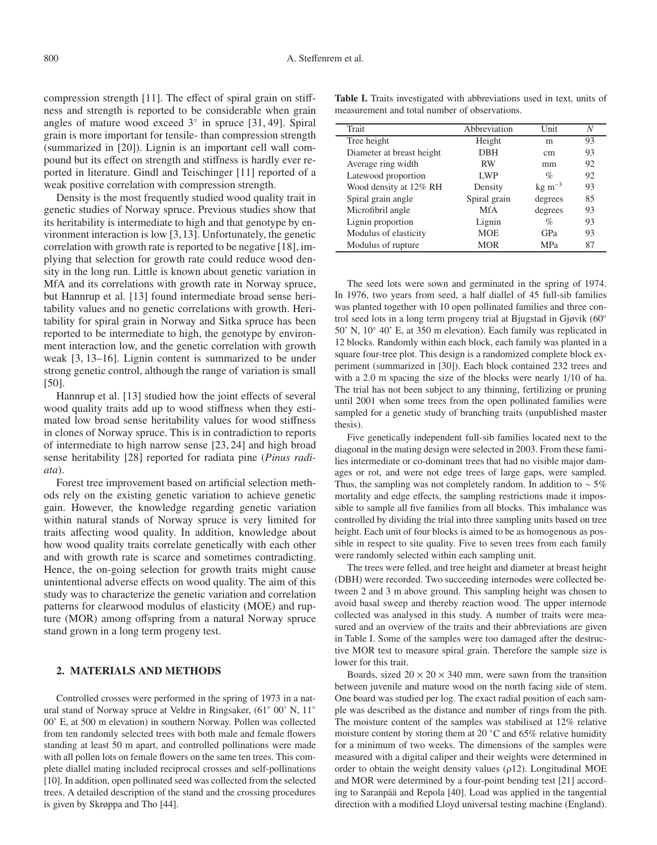compression strength [11]. The effect of spiral grain on stiffness and strength is reported to be considerable when grain angles of mature wood exceed 3◦ in spruce [31, 49]. Spiral grain is more important for tensile- than compression strength (summarized in [20]). Lignin is an important cell wall compound but its effect on strength and stiffness is hardly ever reported in literature. Gindl and Teischinger [11] reported of a weak positive correlation with compression strength.

Density is the most frequently studied wood quality trait in genetic studies of Norway spruce. Previous studies show that its heritability is intermediate to high and that genotype by environment interaction is low [3,13]. Unfortunately, the genetic correlation with growth rate is reported to be negative [18], implying that selection for growth rate could reduce wood density in the long run. Little is known about genetic variation in MfA and its correlations with growth rate in Norway spruce, but Hannrup et al. [13] found intermediate broad sense heritability values and no genetic correlations with growth. Heritability for spiral grain in Norway and Sitka spruce has been reported to be intermediate to high, the genotype by environment interaction low, and the genetic correlation with growth weak [3, 13–16]. Lignin content is summarized to be under strong genetic control, although the range of variation is small [50].

Hannrup et al. [13] studied how the joint effects of several wood quality traits add up to wood stiffness when they estimated low broad sense heritability values for wood stiffness in clones of Norway spruce. This is in contradiction to reports of intermediate to high narrow sense [23, 24] and high broad sense heritability [28] reported for radiata pine (*Pinus radiata*).

Forest tree improvement based on artificial selection methods rely on the existing genetic variation to achieve genetic gain. However, the knowledge regarding genetic variation within natural stands of Norway spruce is very limited for traits affecting wood quality. In addition, knowledge about how wood quality traits correlate genetically with each other and with growth rate is scarce and sometimes contradicting. Hence, the on-going selection for growth traits might cause unintentional adverse effects on wood quality. The aim of this study was to characterize the genetic variation and correlation patterns for clearwood modulus of elasticity (MOE) and rupture (MOR) among offspring from a natural Norway spruce stand grown in a long term progeny test.

# **2. MATERIALS AND METHODS**

Controlled crosses were performed in the spring of 1973 in a natural stand of Norway spruce at Veldre in Ringsaker, (61◦ 00' N, 11◦ 00' E, at 500 m elevation) in southern Norway. Pollen was collected from ten randomly selected trees with both male and female flowers standing at least 50 m apart, and controlled pollinations were made with all pollen lots on female flowers on the same ten trees. This complete diallel mating included reciprocal crosses and self-pollinations [10]. In addition, open pollinated seed was collected from the selected trees. A detailed description of the stand and the crossing procedures is given by Skrøppa and Tho [44].

**Table I.** Traits investigated with abbreviations used in text, units of measurement and total number of observations.

| Trait                     | Abbreviation | Unit               | N  |
|---------------------------|--------------|--------------------|----|
| Tree height               | Height       | m                  | 93 |
| Diameter at breast height | <b>DBH</b>   | <sub>cm</sub>      | 93 |
| Average ring width        | <b>RW</b>    | mm                 | 92 |
| Latewood proportion       | <b>LWP</b>   | $\%$               | 92 |
| Wood density at 12% RH    | Density      | $\text{kg m}^{-3}$ | 93 |
| Spiral grain angle        | Spiral grain | degrees            | 85 |
| Microfibril angle         | <b>MfA</b>   | degrees            | 93 |
| Lignin proportion         | Lignin       | $\%$               | 93 |
| Modulus of elasticity     | <b>MOE</b>   | GPa                | 93 |
| Modulus of rupture        | <b>MOR</b>   | MPa                | 87 |

The seed lots were sown and germinated in the spring of 1974. In 1976, two years from seed, a half diallel of 45 full-sib families was planted together with 10 open pollinated families and three control seed lots in a long term progeny trial at Bjugstad in Gjøvik (60◦ 50' N, 10◦ 40' E, at 350 m elevation). Each family was replicated in 12 blocks. Randomly within each block, each family was planted in a square four-tree plot. This design is a randomized complete block experiment (summarized in [30]). Each block contained 232 trees and with a 2.0 m spacing the size of the blocks were nearly 1/10 of ha. The trial has not been subject to any thinning, fertilizing or pruning until 2001 when some trees from the open pollinated families were sampled for a genetic study of branching traits (unpublished master thesis).

Five genetically independent full-sib families located next to the diagonal in the mating design were selected in 2003. From these families intermediate or co-dominant trees that had no visible major damages or rot, and were not edge trees of large gaps, were sampled. Thus, the sampling was not completely random. In addition to  $\sim$  5% mortality and edge effects, the sampling restrictions made it impossible to sample all five families from all blocks. This imbalance was controlled by dividing the trial into three sampling units based on tree height. Each unit of four blocks is aimed to be as homogenous as possible in respect to site quality. Five to seven trees from each family were randomly selected within each sampling unit.

The trees were felled, and tree height and diameter at breast height (DBH) were recorded. Two succeeding internodes were collected between 2 and 3 m above ground. This sampling height was chosen to avoid basal sweep and thereby reaction wood. The upper internode collected was analysed in this study. A number of traits were measured and an overview of the traits and their abbreviations are given in Table I. Some of the samples were too damaged after the destructive MOR test to measure spiral grain. Therefore the sample size is lower for this trait.

Boards, sized  $20 \times 20 \times 340$  mm, were sawn from the transition between juvenile and mature wood on the north facing side of stem. One board was studied per log. The exact radial position of each sample was described as the distance and number of rings from the pith. The moisture content of the samples was stabilised at 12% relative moisture content by storing them at 20  $\degree$ C and 65% relative humidity for a minimum of two weeks. The dimensions of the samples were measured with a digital caliper and their weights were determined in order to obtain the weight density values (ρ12). Longitudinal MOE and MOR were determined by a four-point bending test [21] according to Saranpää and Repola [40]. Load was applied in the tangential direction with a modified Lloyd universal testing machine (England).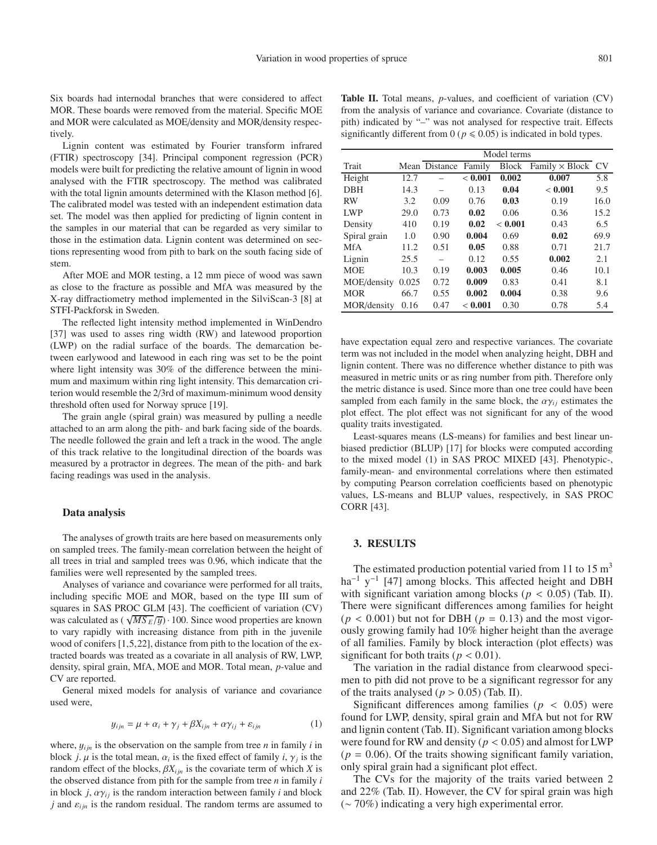Six boards had internodal branches that were considered to affect MOR. These boards were removed from the material. Specific MOE and MOR were calculated as MOE/density and MOR/density respectively.

Lignin content was estimated by Fourier transform infrared (FTIR) spectroscopy [34]. Principal component regression (PCR) models were built for predicting the relative amount of lignin in wood analysed with the FTIR spectroscopy. The method was calibrated with the total lignin amounts determined with the Klason method [6]. The calibrated model was tested with an independent estimation data set. The model was then applied for predicting of lignin content in the samples in our material that can be regarded as very similar to those in the estimation data. Lignin content was determined on sections representing wood from pith to bark on the south facing side of stem.

After MOE and MOR testing, a 12 mm piece of wood was sawn as close to the fracture as possible and MfA was measured by the X-ray diffractiometry method implemented in the SilviScan-3 [8] at STFI-Packforsk in Sweden.

The reflected light intensity method implemented in WinDendro [37] was used to asses ring width (RW) and latewood proportion (LWP) on the radial surface of the boards. The demarcation between earlywood and latewood in each ring was set to be the point where light intensity was 30% of the difference between the minimum and maximum within ring light intensity. This demarcation criterion would resemble the 2/3rd of maximum-minimum wood density threshold often used for Norway spruce [19].

The grain angle (spiral grain) was measured by pulling a needle attached to an arm along the pith- and bark facing side of the boards. The needle followed the grain and left a track in the wood. The angle of this track relative to the longitudinal direction of the boards was measured by a protractor in degrees. The mean of the pith- and bark facing readings was used in the analysis.

#### **Data analysis**

The analyses of growth traits are here based on measurements only on sampled trees. The family-mean correlation between the height of all trees in trial and sampled trees was 0.96, which indicate that the families were well represented by the sampled trees.

Analyses of variance and covariance were performed for all traits, including specific MOE and MOR, based on the type III sum of squares in SAS PROC GLM [43]. The coefficient of variation (CV) was calculated as  $(\sqrt{MS_E}/\overline{y}) \cdot 100$ . Since wood properties are known to vary rapidly with increasing distance from pith in the juvenile wood of conifers [1,5,22], distance from pith to the location of the extracted boards was treated as a covariate in all analysis of RW, LWP, density, spiral grain, MfA, MOE and MOR. Total mean, *p*-value and CV are reported.

General mixed models for analysis of variance and covariance used were,

$$
y_{ijn} = \mu + \alpha_i + \gamma_j + \beta X_{ijn} + \alpha \gamma_{ij} + \varepsilon_{ijn}
$$
 (1)

where,  $y_{i j n}$  is the observation on the sample from tree *n* in family *i* in block *j*.  $\mu$  is the total mean,  $\alpha_i$  is the fixed effect of family *i*,  $\gamma_i$  is the random effect of the blocks,  $\beta X_{ijn}$  is the covariate term of which *X* is the observed distance from pith for the sample from tree *n* in family *i* in block *j*,  $\alpha \gamma_{ij}$  is the random interaction between family *i* and block *j* and  $\varepsilon_{ijn}$  is the random residual. The random terms are assumed to

**Table II.** Total means, *p*-values, and coefficient of variation (CV) from the analysis of variance and covariance. Covariate (distance to pith) indicated by "-" was not analysed for respective trait. Effects significantly different from  $0 (p \le 0.05)$  is indicated in bold types.

|              |       | Model terms   |         |              |                       |           |  |
|--------------|-------|---------------|---------|--------------|-----------------------|-----------|--|
| Trait        |       | Mean Distance | Family  | <b>Block</b> | Family $\times$ Block | <b>CV</b> |  |
| Height       | 12.7  |               | < 0.001 | 0.002        | 0.007                 | 5.8       |  |
| <b>DBH</b>   | 14.3  |               | 0.13    | 0.04         | < 0.001               | 9.5       |  |
| <b>RW</b>    | 3.2   | 0.09          | 0.76    | 0.03         | 0.19                  | 16.0      |  |
| <b>LWP</b>   | 29.0  | 0.73          | 0.02    | 0.06         | 0.36                  | 15.2      |  |
| Density      | 410   | 0.19          | 0.02    | < 0.001      | 0.43                  | 6.5       |  |
| Spiral grain | 1.0   | 0.90          | 0.004   | 0.69         | 0.02                  | 69.9      |  |
| <b>MfA</b>   | 11.2  | 0.51          | 0.05    | 0.88         | 0.71                  | 21.7      |  |
| Lignin       | 25.5  |               | 0.12    | 0.55         | 0.002                 | 2.1       |  |
| <b>MOE</b>   | 10.3  | 0.19          | 0.003   | 0.005        | 0.46                  | 10.1      |  |
| MOE/density  | 0.025 | 0.72          | 0.009   | 0.83         | 0.41                  | 8.1       |  |
| <b>MOR</b>   | 66.7  | 0.55          | 0.002   | 0.004        | 0.38                  | 9.6       |  |
| MOR/density  | 0.16  | 0.47          | < 0.001 | 0.30         | 0.78                  | 5.4       |  |

have expectation equal zero and respective variances. The covariate term was not included in the model when analyzing height, DBH and lignin content. There was no difference whether distance to pith was measured in metric units or as ring number from pith. Therefore only the metric distance is used. Since more than one tree could have been sampled from each family in the same block, the  $\alpha\gamma_{ii}$  estimates the plot effect. The plot effect was not significant for any of the wood quality traits investigated.

Least-squares means (LS-means) for families and best linear unbiased predictior (BLUP) [17] for blocks were computed according to the mixed model (1) in SAS PROC MIXED [43]. Phenotypic-, family-mean- and environmental correlations where then estimated by computing Pearson correlation coefficients based on phenotypic values, LS-means and BLUP values, respectively, in SAS PROC CORR [43].

# **3. RESULTS**

The estimated production potential varied from 11 to 15  $\text{m}^3$ ha<sup>-1</sup> y<sup>-1</sup> [47] among blocks. This affected height and DBH with significant variation among blocks ( $p < 0.05$ ) (Tab. II). There were significant differences among families for height  $(p < 0.001)$  but not for DBH  $(p = 0.13)$  and the most vigorously growing family had 10% higher height than the average of all families. Family by block interaction (plot effects) was significant for both traits ( $p < 0.01$ ).

The variation in the radial distance from clearwood specimen to pith did not prove to be a significant regressor for any of the traits analysed ( $p > 0.05$ ) (Tab. II).

Significant differences among families ( $p < 0.05$ ) were found for LWP, density, spiral grain and MfA but not for RW and lignin content (Tab. II). Significant variation among blocks were found for RW and density (*p* < 0.05) and almost for LWP  $(p = 0.06)$ . Of the traits showing significant family variation, only spiral grain had a significant plot effect.

The CVs for the majority of the traits varied between 2 and 22% (Tab. II). However, the CV for spiral grain was high (∼ 70%) indicating a very high experimental error.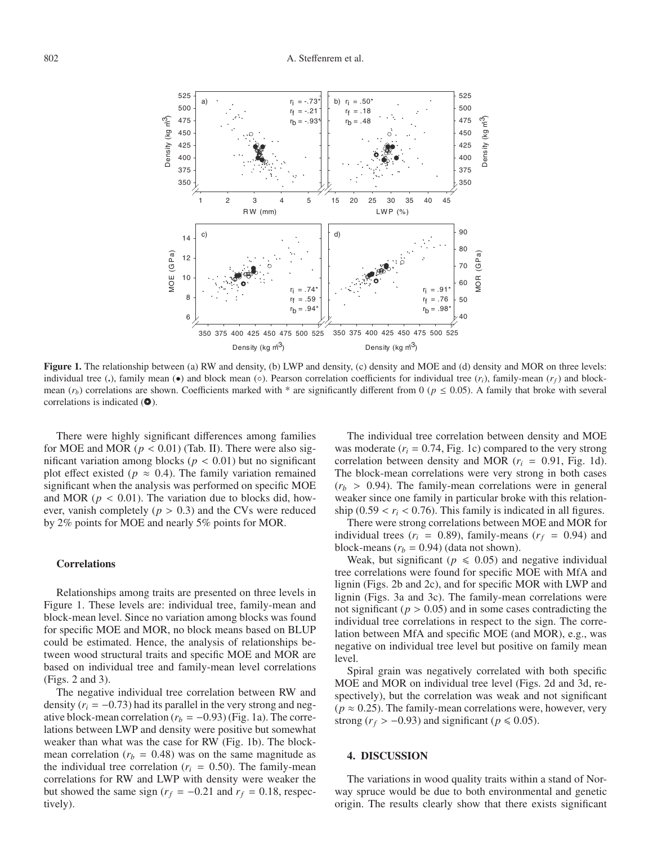

**Figure 1.** The relationship between (a) RW and density, (b) LWP and density, (c) density and MOE and (d) density and MOR on three levels: individual tree (.), family mean ( $\bullet$ ) and block mean ( $\circ$ ). Pearson correlation coefficients for individual tree ( $r_i$ ), family-mean ( $r_f$ ) and blockmean  $(r_b)$  correlations are shown. Coefficients marked with \* are significantly different from 0 ( $p \le 0.05$ ). A family that broke with several correlations is indicated  $(①)$ .

There were highly significant differences among families for MOE and MOR ( $p < 0.01$ ) (Tab. II). There were also significant variation among blocks ( $p < 0.01$ ) but no significant plot effect existed ( $p \approx 0.4$ ). The family variation remained significant when the analysis was performed on specific MOE and MOR ( $p < 0.01$ ). The variation due to blocks did, however, vanish completely  $(p > 0.3)$  and the CVs were reduced by 2% points for MOE and nearly 5% points for MOR.

#### **Correlations**

Relationships among traits are presented on three levels in Figure 1. These levels are: individual tree, family-mean and block-mean level. Since no variation among blocks was found for specific MOE and MOR, no block means based on BLUP could be estimated. Hence, the analysis of relationships between wood structural traits and specific MOE and MOR are based on individual tree and family-mean level correlations (Figs. 2 and 3).

The negative individual tree correlation between RW and density  $(r_i = -0.73)$  had its parallel in the very strong and negative block-mean correlation  $(r_b = -0.93)$  (Fig. 1a). The correlations between LWP and density were positive but somewhat weaker than what was the case for RW (Fig. 1b). The blockmean correlation ( $r_b$  = 0.48) was on the same magnitude as the individual tree correlation  $(r<sub>i</sub> = 0.50)$ . The family-mean correlations for RW and LWP with density were weaker the but showed the same sign ( $r_f = -0.21$  and  $r_f = 0.18$ , respectively).

The individual tree correlation between density and MOE was moderate  $(r<sub>i</sub> = 0.74, Fig. 1c)$  compared to the very strong correlation between density and MOR  $(r_i = 0.91, \text{Fig. 1d})$ . The block-mean correlations were very strong in both cases  $(r_b > 0.94)$ . The family-mean correlations were in general weaker since one family in particular broke with this relationship  $(0.59 < r_i < 0.76)$ . This family is indicated in all figures.

There were strong correlations between MOE and MOR for individual trees ( $r_i$  = 0.89), family-means ( $r_f$  = 0.94) and block-means  $(r_b = 0.94)$  (data not shown).

Weak, but significant ( $p \le 0.05$ ) and negative individual tree correlations were found for specific MOE with MfA and lignin (Figs. 2b and 2c), and for specific MOR with LWP and lignin (Figs. 3a and 3c). The family-mean correlations were not significant ( $p > 0.05$ ) and in some cases contradicting the individual tree correlations in respect to the sign. The correlation between MfA and specific MOE (and MOR), e.g., was negative on individual tree level but positive on family mean level.

Spiral grain was negatively correlated with both specific MOE and MOR on individual tree level (Figs. 2d and 3d, respectively), but the correlation was weak and not significant  $(p \approx 0.25)$ . The family-mean correlations were, however, very strong ( $r_f$  > -0.93) and significant ( $p \le 0.05$ ).

#### **4. DISCUSSION**

The variations in wood quality traits within a stand of Norway spruce would be due to both environmental and genetic origin. The results clearly show that there exists significant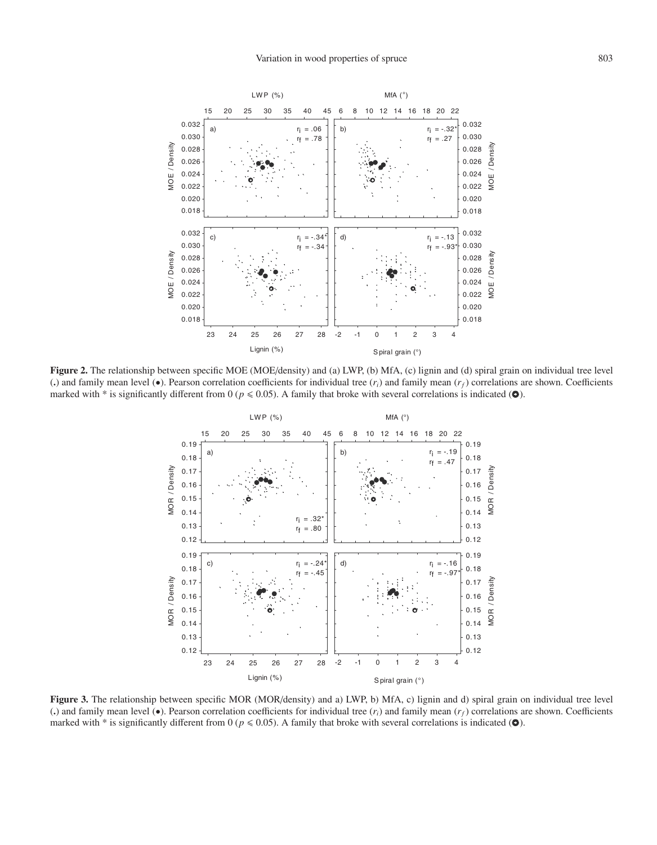

**Figure 2.** The relationship between specific MOE (MOE/density) and (a) LWP, (b) MfA, (c) lignin and (d) spiral grain on individual tree level (a) and family mean level ( $\bullet$ ). Pearson correlation coefficients for individual tree  $(r_i)$  and family mean  $(r_f)$  correlations are shown. Coefficients marked with  $*$  is significantly different from 0 ( $p \le 0.05$ ). A family that broke with several correlations is indicated ( $\bullet$ ).



**Figure 3.** The relationship between specific MOR (MOR/density) and a) LWP, b) MfA, c) lignin and d) spiral grain on individual tree level (a) and family mean level ( $\bullet$ ). Pearson correlation coefficients for individual tree  $(r_i)$  and family mean  $(r_f)$  correlations are shown. Coefficients marked with  $*$  is significantly different from 0 ( $p \le 0.05$ ). A family that broke with several correlations is indicated ( $\bullet$ ).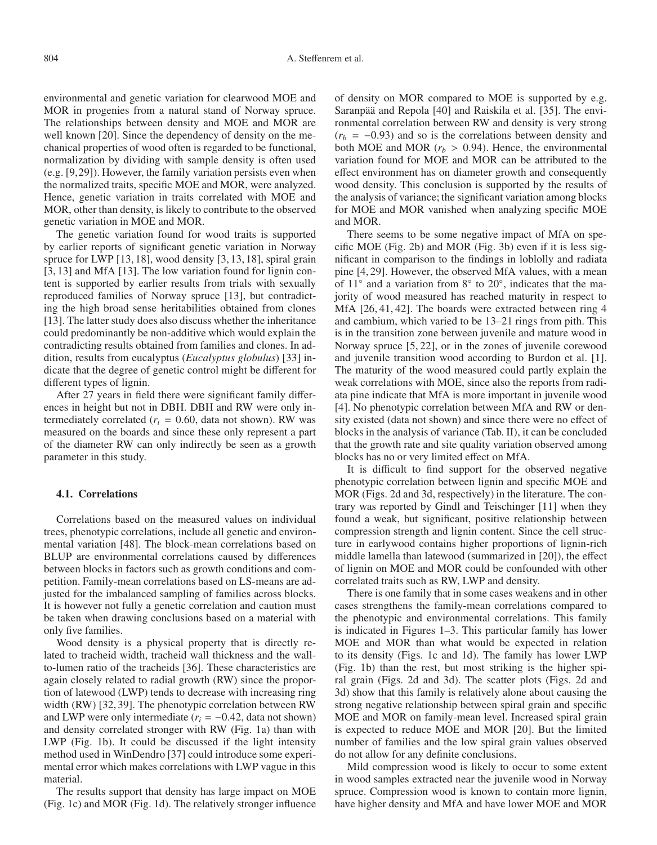environmental and genetic variation for clearwood MOE and MOR in progenies from a natural stand of Norway spruce. The relationships between density and MOE and MOR are well known [20]. Since the dependency of density on the mechanical properties of wood often is regarded to be functional, normalization by dividing with sample density is often used (e.g. [9,29]). However, the family variation persists even when the normalized traits, specific MOE and MOR, were analyzed. Hence, genetic variation in traits correlated with MOE and MOR, other than density, is likely to contribute to the observed genetic variation in MOE and MOR.

The genetic variation found for wood traits is supported by earlier reports of significant genetic variation in Norway spruce for LWP [13, 18], wood density [3, 13, 18], spiral grain [3, 13] and MfA [13]. The low variation found for lignin content is supported by earlier results from trials with sexually reproduced families of Norway spruce [13], but contradicting the high broad sense heritabilities obtained from clones [13]. The latter study does also discuss whether the inheritance could predominantly be non-additive which would explain the contradicting results obtained from families and clones. In addition, results from eucalyptus (*Eucalyptus globulus*) [33] indicate that the degree of genetic control might be different for different types of lignin.

After 27 years in field there were significant family differences in height but not in DBH. DBH and RW were only intermediately correlated  $(r_i = 0.60, \text{ data not shown})$ . RW was measured on the boards and since these only represent a part of the diameter RW can only indirectly be seen as a growth parameter in this study.

#### **4.1. Correlations**

Correlations based on the measured values on individual trees, phenotypic correlations, include all genetic and environmental variation [48]. The block-mean correlations based on BLUP are environmental correlations caused by differences between blocks in factors such as growth conditions and competition. Family-mean correlations based on LS-means are adjusted for the imbalanced sampling of families across blocks. It is however not fully a genetic correlation and caution must be taken when drawing conclusions based on a material with only five families.

Wood density is a physical property that is directly related to tracheid width, tracheid wall thickness and the wallto-lumen ratio of the tracheids [36]. These characteristics are again closely related to radial growth (RW) since the proportion of latewood (LWP) tends to decrease with increasing ring width (RW) [32, 39]. The phenotypic correlation between RW and LWP were only intermediate  $(r<sub>i</sub> = -0.42$ , data not shown) and density correlated stronger with RW (Fig. 1a) than with LWP (Fig. 1b). It could be discussed if the light intensity method used in WinDendro [37] could introduce some experimental error which makes correlations with LWP vague in this material.

The results support that density has large impact on MOE (Fig. 1c) and MOR (Fig. 1d). The relatively stronger influence

of density on MOR compared to MOE is supported by e.g. Saranpää and Repola [40] and Raiskila et al. [35]. The environmental correlation between RW and density is very strong  $(r_b = -0.93)$  and so is the correlations between density and both MOE and MOR ( $r_b > 0.94$ ). Hence, the environmental variation found for MOE and MOR can be attributed to the effect environment has on diameter growth and consequently wood density. This conclusion is supported by the results of the analysis of variance; the significant variation among blocks for MOE and MOR vanished when analyzing specific MOE and MOR.

There seems to be some negative impact of MfA on specific MOE (Fig. 2b) and MOR (Fig. 3b) even if it is less significant in comparison to the findings in loblolly and radiata pine [4, 29]. However, the observed MfA values, with a mean of 11◦ and a variation from 8◦ to 20◦, indicates that the majority of wood measured has reached maturity in respect to MfA [26, 41, 42]. The boards were extracted between ring 4 and cambium, which varied to be 13–21 rings from pith. This is in the transition zone between juvenile and mature wood in Norway spruce [5, 22], or in the zones of juvenile corewood and juvenile transition wood according to Burdon et al. [1]. The maturity of the wood measured could partly explain the weak correlations with MOE, since also the reports from radiata pine indicate that MfA is more important in juvenile wood [4]. No phenotypic correlation between MfA and RW or density existed (data not shown) and since there were no effect of blocks in the analysis of variance (Tab. II), it can be concluded that the growth rate and site quality variation observed among blocks has no or very limited effect on MfA.

It is difficult to find support for the observed negative phenotypic correlation between lignin and specific MOE and MOR (Figs. 2d and 3d, respectively) in the literature. The contrary was reported by Gindl and Teischinger [11] when they found a weak, but significant, positive relationship between compression strength and lignin content. Since the cell structure in earlywood contains higher proportions of lignin-rich middle lamella than latewood (summarized in [20]), the effect of lignin on MOE and MOR could be confounded with other correlated traits such as RW, LWP and density.

There is one family that in some cases weakens and in other cases strengthens the family-mean correlations compared to the phenotypic and environmental correlations. This family is indicated in Figures 1–3. This particular family has lower MOE and MOR than what would be expected in relation to its density (Figs. 1c and 1d). The family has lower LWP (Fig. 1b) than the rest, but most striking is the higher spiral grain (Figs. 2d and 3d). The scatter plots (Figs. 2d and 3d) show that this family is relatively alone about causing the strong negative relationship between spiral grain and specific MOE and MOR on family-mean level. Increased spiral grain is expected to reduce MOE and MOR [20]. But the limited number of families and the low spiral grain values observed do not allow for any definite conclusions.

Mild compression wood is likely to occur to some extent in wood samples extracted near the juvenile wood in Norway spruce. Compression wood is known to contain more lignin, have higher density and MfA and have lower MOE and MOR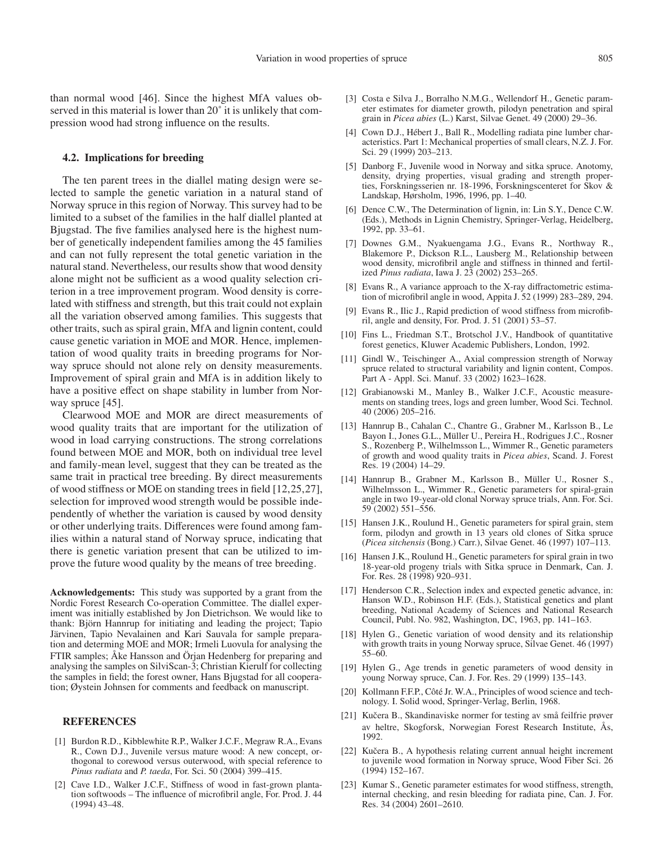than normal wood [46]. Since the highest MfA values observed in this material is lower than 20˚ it is unlikely that compression wood had strong influence on the results.

# **4.2. Implications for breeding**

The ten parent trees in the diallel mating design were selected to sample the genetic variation in a natural stand of Norway spruce in this region of Norway. This survey had to be limited to a subset of the families in the half diallel planted at Bjugstad. The five families analysed here is the highest number of genetically independent families among the 45 families and can not fully represent the total genetic variation in the natural stand. Nevertheless, our results show that wood density alone might not be sufficient as a wood quality selection criterion in a tree improvement program. Wood density is correlated with stiffness and strength, but this trait could not explain all the variation observed among families. This suggests that other traits, such as spiral grain, MfA and lignin content, could cause genetic variation in MOE and MOR. Hence, implementation of wood quality traits in breeding programs for Norway spruce should not alone rely on density measurements. Improvement of spiral grain and MfA is in addition likely to have a positive effect on shape stability in lumber from Norway spruce [45].

Clearwood MOE and MOR are direct measurements of wood quality traits that are important for the utilization of wood in load carrying constructions. The strong correlations found between MOE and MOR, both on individual tree level and family-mean level, suggest that they can be treated as the same trait in practical tree breeding. By direct measurements of wood stiffness or MOE on standing trees in field [12,25,27], selection for improved wood strength would be possible independently of whether the variation is caused by wood density or other underlying traits. Differences were found among families within a natural stand of Norway spruce, indicating that there is genetic variation present that can be utilized to improve the future wood quality by the means of tree breeding.

**Acknowledgements:** This study was supported by a grant from the Nordic Forest Research Co-operation Committee. The diallel experiment was initially established by Jon Dietrichson. We would like to thank: Björn Hannrup for initiating and leading the project; Tapio Järvinen, Tapio Nevalainen and Kari Sauvala for sample preparation and determing MOE and MOR; Irmeli Luovula for analysing the FTIR samples; Åke Hansson and Örjan Hedenberg for preparing and analysing the samples on SilviScan-3; Christian Kierulf for collecting the samples in field; the forest owner, Hans Bjugstad for all cooperation; Øystein Johnsen for comments and feedback on manuscript.

## **REFERENCES**

- [1] Burdon R.D., Kibblewhite R.P., Walker J.C.F., Megraw R.A., Evans R., Cown D.J., Juvenile versus mature wood: A new concept, orthogonal to corewood versus outerwood, with special reference to *Pinus radiata* and *P. taeda*, For. Sci. 50 (2004) 399–415.
- [2] Cave I.D., Walker J.C.F., Stiffness of wood in fast-grown plantation softwoods – The influence of microfibril angle, For. Prod. J. 44 (1994) 43–48.
- [3] Costa e Silva J., Borralho N.M.G., Wellendorf H., Genetic parameter estimates for diameter growth, pilodyn penetration and spiral grain in *Picea abies* (L.) Karst, Silvae Genet. 49 (2000) 29–36.
- [4] Cown D.J., Hébert J., Ball R., Modelling radiata pine lumber characteristics. Part 1: Mechanical properties of small clears, N.Z. J. For. Sci. 29 (1999) 203–213.
- [5] Danborg F., Juvenile wood in Norway and sitka spruce. Anotomy, density, drying properties, visual grading and strength properties, Forskningsserien nr. 18-1996, Forskningscenteret for Skov & Landskap, Hørsholm, 1996, 1996, pp. 1–40.
- [6] Dence C.W., The Determination of lignin, in: Lin S.Y., Dence C.W. (Eds.), Methods in Lignin Chemistry, Springer-Verlag, Heidelberg, 1992, pp. 33–61.
- [7] Downes G.M., Nyakuengama J.G., Evans R., Northway R., Blakemore P., Dickson R.L., Lausberg M., Relationship between wood density, microfibril angle and stiffness in thinned and fertilized *Pinus radiata*, Iawa J. 23 (2002) 253–265.
- [8] Evans R., A variance approach to the X-ray diffractometric estimation of microfibril angle in wood, Appita J. 52 (1999) 283–289, 294.
- [9] Evans R., Ilic J., Rapid prediction of wood stiffness from microfibril, angle and density, For. Prod. J. 51 (2001) 53–57.
- [10] Fins L., Friedman S.T., Brotschol J.V., Handbook of quantitative forest genetics, Kluwer Academic Publishers, London, 1992.
- [11] Gindl W., Teischinger A., Axial compression strength of Norway spruce related to structural variability and lignin content, Compos. Part A - Appl. Sci. Manuf. 33 (2002) 1623–1628.
- [12] Grabianowski M., Manley B., Walker J.C.F., Acoustic measurements on standing trees, logs and green lumber, Wood Sci. Technol. 40 (2006) 205–216.
- [13] Hannrup B., Cahalan C., Chantre G., Grabner M., Karlsson B., Le Bayon I., Jones G.L., Müller U., Pereira H., Rodrigues J.C., Rosner S., Rozenberg P., Wilhelmsson L., Wimmer R., Genetic parameters of growth and wood quality traits in *Picea abies*, Scand. J. Forest Res. 19 (2004) 14–29.
- [14] Hannrup B., Grabner M., Karlsson B., Müller U., Rosner S., Wilhelmsson L., Wimmer R., Genetic parameters for spiral-grain angle in two 19-year-old clonal Norway spruce trials, Ann. For. Sci. 59 (2002) 551–556.
- [15] Hansen J.K., Roulund H., Genetic parameters for spiral grain, stem form, pilodyn and growth in 13 years old clones of Sitka spruce (*Picea sitchensis* (Bong.) Carr.), Silvae Genet. 46 (1997) 107–113.
- [16] Hansen J.K., Roulund H., Genetic parameters for spiral grain in two 18-year-old progeny trials with Sitka spruce in Denmark, Can. J. For. Res. 28 (1998) 920–931.
- [17] Henderson C.R., Selection index and expected genetic advance, in: Hanson W.D., Robinson H.F. (Eds.), Statistical genetics and plant breeding, National Academy of Sciences and National Research Council, Publ. No. 982, Washington, DC, 1963, pp. 141–163.
- [18] Hylen G., Genetic variation of wood density and its relationship with growth traits in young Norway spruce, Silvae Genet. 46 (1997) 55–60.
- [19] Hylen G., Age trends in genetic parameters of wood density in young Norway spruce, Can. J. For. Res. 29 (1999) 135–143.
- [20] Kollmann F.F.P., Côté Jr. W.A., Principles of wood science and technology. I. Solid wood, Springer-Verlag, Berlin, 1968.
- [21] Kučera B., Skandinaviske normer for testing av små feilfrie prøver av heltre, Skogforsk, Norwegian Forest Research Institute, Ås, 1992.
- [22] Kučera B., A hypothesis relating current annual height increment to juvenile wood formation in Norway spruce, Wood Fiber Sci. 26 (1994) 152–167.
- [23] Kumar S., Genetic parameter estimates for wood stiffness, strength, internal checking, and resin bleeding for radiata pine, Can. J. For. Res. 34 (2004) 2601–2610.